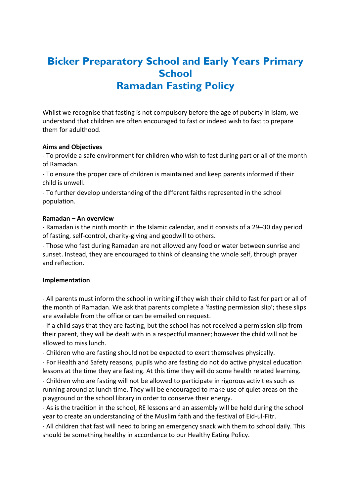# **Bicker Preparatory School and Early Years Primary School Ramadan Fasting Policy**

Whilst we recognise that fasting is not compulsory before the age of puberty in Islam, we understand that children are often encouraged to fast or indeed wish to fast to prepare them for adulthood.

### **Aims and Objectives**

- To provide a safe environment for children who wish to fast during part or all of the month of Ramadan.

- To ensure the proper care of children is maintained and keep parents informed if their child is unwell.

- To further develop understanding of the different faiths represented in the school population.

## **Ramadan – An overview**

- Ramadan is the ninth month in the Islamic calendar, and it consists of a 29–30 day period of fasting, self-control, charity-giving and goodwill to others.

- Those who fast during Ramadan are not allowed any food or water between sunrise and sunset. Instead, they are encouraged to think of cleansing the whole self, through prayer and reflection.

## **Implementation**

- All parents must inform the school in writing if they wish their child to fast for part or all of the month of Ramadan. We ask that parents complete a 'fasting permission slip'; these slips are available from the office or can be emailed on request.

- If a child says that they are fasting, but the school has not received a permission slip from their parent, they will be dealt with in a respectful manner; however the child will not be allowed to miss lunch.

- Children who are fasting should not be expected to exert themselves physically.

- For Health and Safety reasons, pupils who are fasting do not do active physical education lessons at the time they are fasting. At this time they will do some health related learning.

- Children who are fasting will not be allowed to participate in rigorous activities such as running around at lunch time. They will be encouraged to make use of quiet areas on the playground or the school library in order to conserve their energy.

- As is the tradition in the school, RE lessons and an assembly will be held during the school year to create an understanding of the Muslim faith and the festival of Eid-ul-Fitr.

- All children that fast will need to bring an emergency snack with them to school daily. This should be something healthy in accordance to our Healthy Eating Policy.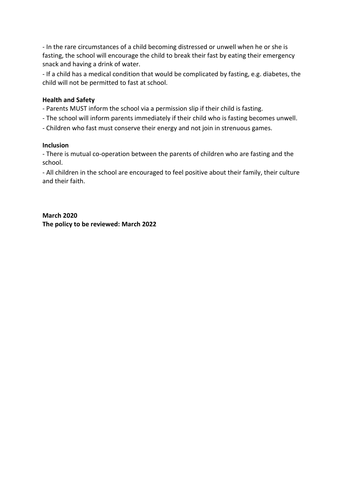- In the rare circumstances of a child becoming distressed or unwell when he or she is fasting, the school will encourage the child to break their fast by eating their emergency snack and having a drink of water.

- If a child has a medical condition that would be complicated by fasting, e.g. diabetes, the child will not be permitted to fast at school.

## **Health and Safety**

- Parents MUST inform the school via a permission slip if their child is fasting.
- The school will inform parents immediately if their child who is fasting becomes unwell.
- Children who fast must conserve their energy and not join in strenuous games.

### **Inclusion**

- There is mutual co-operation between the parents of children who are fasting and the school.

- All children in the school are encouraged to feel positive about their family, their culture and their faith.

**March 2020 The policy to be reviewed: March 2022**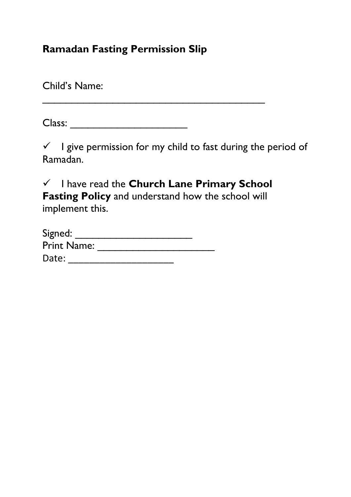# **Ramadan Fasting Permission Slip**

Child's Name:

Class: \_\_\_\_\_\_\_\_\_\_\_\_\_\_\_\_\_\_\_\_

 $\checkmark$  I give permission for my child to fast during the period of Ramadan.

✓ I have read the **Church Lane Primary School Fasting Policy** and understand how the school will implement this.

| Signed:            |  |
|--------------------|--|
| <b>Print Name:</b> |  |
| Date:              |  |